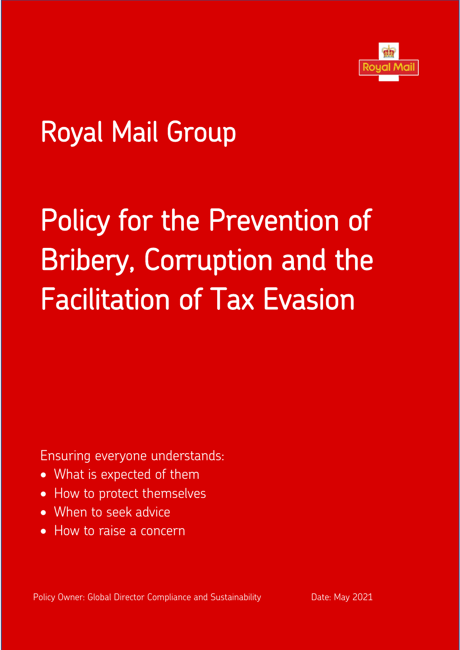

# Royal Mail Group

# Policy for the Prevention of Bribery, Corruption and the Facilitation of Tax Evasion

Ensuring everyone understands:

- What is expected of them
- How to protect themselves
- When to seek advice
- How to raise a concern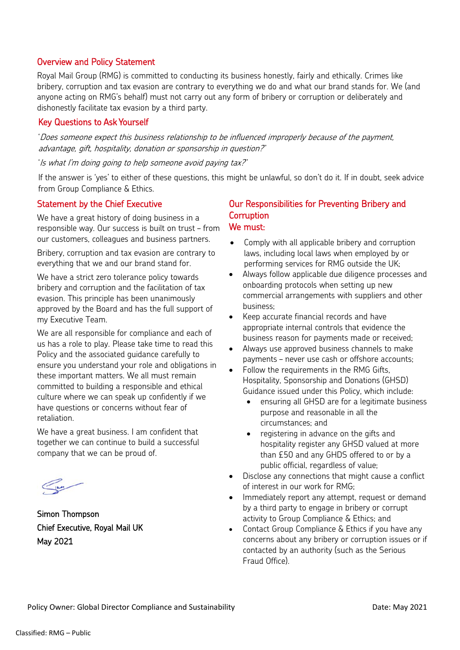## Overview and Policy Statement

Royal Mail Group (RMG) is committed to conducting its business honestly, fairly and ethically. Crimes like bribery, corruption and tax evasion are contrary to everything we do and what our brand stands for. We (and anyone acting on RMG's behalf) must not carry out any form of bribery or corruption or deliberately and dishonestly facilitate tax evasion by a third party.

#### Key Questions to Ask Yourself

'Does someone expect this business relationship to be influenced improperly because of the payment, advantage, gift, hospitality, donation or sponsorship in question?''

'Is what I'm doing going to help someone avoid paying tax?''

If the answer is 'yes' to either of these questions, this might be unlawful, so don't do it. If in doubt, seek advice from Group Compliance & Ethics.

#### Statement by the Chief Executive

We have a great history of doing business in a responsible way. Our success is built on trust – from our customers, colleagues and business partners.

Bribery, corruption and tax evasion are contrary to everything that we and our brand stand for.

We have a strict zero tolerance policy towards bribery and corruption and the facilitation of tax evasion. This principle has been unanimously approved by the Board and has the full support of my Executive Team.

We are all responsible for compliance and each of us has a role to play. Please take time to read this Policy and the associated guidance carefully to ensure you understand your role and obligations in these important matters. We all must remain committed to building a responsible and ethical culture where we can speak up confidently if we have questions or concerns without fear of retaliation.

We have a great business. I am confident that together we can continue to build a successful company that we can be proud of.

Simon Thompson Chief Executive, Royal Mail UK May 2021

#### Our Responsibilities for Preventing Bribery and **Corruption** We must:

- Comply with all applicable bribery and corruption laws, including local laws when employed by or performing services for RMG outside the UK;
- Always follow applicable due diligence processes and onboarding protocols when setting up new commercial arrangements with suppliers and other business;
- Keep accurate financial records and have appropriate internal controls that evidence the business reason for payments made or received;
- Always use approved business channels to make payments – never use cash or offshore accounts;
- Follow the requirements in the RMG Gifts, Hospitality, Sponsorship and Donations (GHSD) Guidance issued under this Policy, which include:
	- ensuring all GHSD are for a legitimate business purpose and reasonable in all the circumstances; and
	- registering in advance on the gifts and hospitality register any GHSD valued at more than £50 and any GHDS offered to or by a public official, regardless of value;
- Disclose any connections that might cause a conflict of interest in our work for RMG;
- Immediately report any attempt, request or demand by a third party to engage in bribery or corrupt activity to Group Compliance & Ethics; and
- Contact Group Compliance & Ethics if you have any concerns about any bribery or corruption issues or if contacted by an authority (such as the Serious Fraud Office).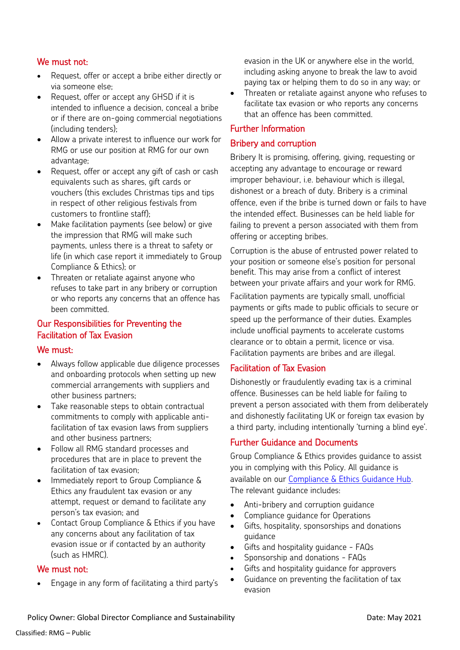# We must not:

- Request, offer or accept a bribe either directly or via someone else;
- Request, offer or accept any GHSD if it is intended to influence a decision, conceal a bribe or if there are on-going commercial negotiations (including tenders);
- Allow a private interest to influence our work for RMG or use our position at RMG for our own advantage;
- Request, offer or accept any gift of cash or cash equivalents such as shares, gift cards or vouchers (this excludes Christmas tips and tips in respect of other religious festivals from customers to frontline staff);
- Make facilitation payments (see below) or give the impression that RMG will make such payments, unless there is a threat to safety or life (in which case report it immediately to Group Compliance & Ethics); or
- Threaten or retaliate against anyone who refuses to take part in any bribery or corruption or who reports any concerns that an offence has been committed.

# Our Responsibilities for Preventing the Facilitation of Tax Evasion

#### We must:

- Always follow applicable due diligence processes and onboarding protocols when setting up new commercial arrangements with suppliers and other business partners;
- Take reasonable steps to obtain contractual commitments to comply with applicable antifacilitation of tax evasion laws from suppliers and other business partners;
- Follow all RMG standard processes and procedures that are in place to prevent the facilitation of tax evasion;
- Immediately report to Group Compliance & Ethics any fraudulent tax evasion or any attempt, request or demand to facilitate any person's tax evasion; and
- Contact Group Compliance & Ethics if you have any concerns about any facilitation of tax evasion issue or if contacted by an authority (such as HMRC).

#### We must not:

• Engage in any form of facilitating a third party's

evasion in the UK or anywhere else in the world, including asking anyone to break the law to avoid paying tax or helping them to do so in any way; or

• Threaten or retaliate against anyone who refuses to facilitate tax evasion or who reports any concerns that an offence has been committed.

## Further Information

#### Bribery and corruption

Bribery It is promising, offering, giving, requesting or accepting any advantage to encourage or reward improper behaviour, i.e. behaviour which is illegal, dishonest or a breach of duty. Bribery is a criminal offence, even if the bribe is turned down or fails to have the intended effect. Businesses can be held liable for failing to prevent a person associated with them from offering or accepting bribes.

Corruption is the abuse of entrusted power related to your position or someone else's position for personal benefit. This may arise from a conflict of interest between your private affairs and your work for RMG.

Facilitation payments are typically small, unofficial payments or gifts made to public officials to secure or speed up the performance of their duties. Examples include unofficial payments to accelerate customs clearance or to obtain a permit, licence or visa. Facilitation payments are bribes and are illegal.

#### Facilitation of Tax Evasion

Dishonestly or fraudulently evading tax is a criminal offence. Businesses can be held liable for failing to prevent a person associated with them from deliberately and dishonestly facilitating UK or foreign tax evasion by a third party, including intentionally 'turning a blind eye'.

#### Further Guidance and Documents

Group Compliance & Ethics provides guidance to assist you in complying with this Policy. All guidance is available on our [Compliance & Ethics Guidance Hub.](https://royalmail.e-learningportal.com/) The relevant guidance includes:

- Anti-bribery and corruption guidance
- Compliance guidance for Operations
- Gifts, hospitality, sponsorships and donations guidance
- Gifts and hospitality guidance FAQs
- Sponsorship and donations FAQs
- Gifts and hospitality guidance for approvers
- Guidance on preventing the facilitation of tax evasion